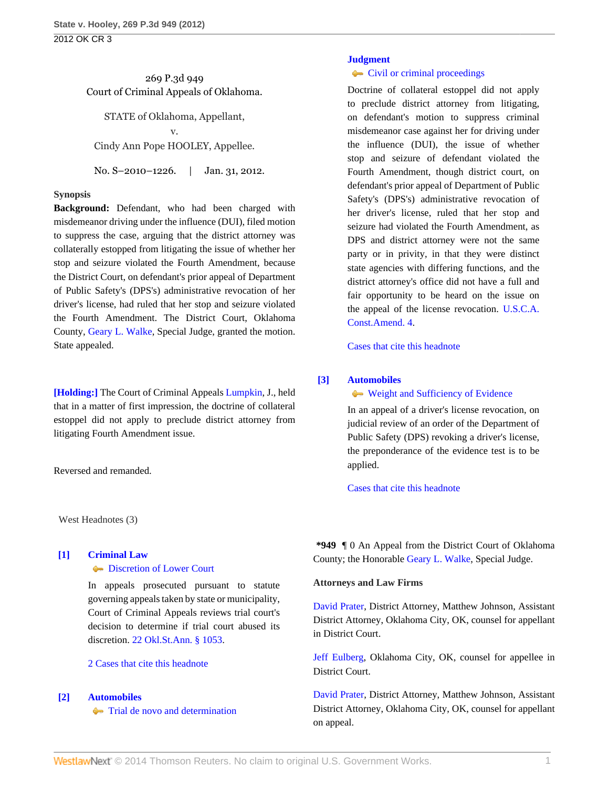269 P.3d 949 Court of Criminal Appeals of Oklahoma.

STATE of Oklahoma, Appellant, v. Cindy Ann Pope HOOLEY, Appellee.

No. S-2010-1226. | Jan. 31, 2012.

#### **Synopsis**

**Background:** Defendant, who had been charged with misdemeanor driving under the influence (DUI), filed motion to suppress the case, arguing that the district attorney was collaterally estopped from litigating the issue of whether her stop and seizure violated the Fourth Amendment, because the District Court, on defendant's prior appeal of Department of Public Safety's (DPS's) administrative revocation of her driver's license, had ruled that her stop and seizure violated the Fourth Amendment. The District Court, Oklahoma County, [Geary L. Walke,](http://www.westlaw.com/Link/Document/FullText?findType=h&pubNum=176284&cite=0283517401&originatingDoc=Iada0f0164e3e11e1b71fa7764cbfcb47&refType=RQ&originationContext=document&vr=3.0&rs=cblt1.0&transitionType=DocumentItem&contextData=(sc.Search)) Special Judge, granted the motion. State appealed.

**[\[Holding:\]](#page-0-0)** The Court of Criminal Appeals [Lumpkin,](http://www.westlaw.com/Link/Document/FullText?findType=h&pubNum=176284&cite=0169510501&originatingDoc=Iada0f0164e3e11e1b71fa7764cbfcb47&refType=RQ&originationContext=document&vr=3.0&rs=cblt1.0&transitionType=DocumentItem&contextData=(sc.Search)) J., held that in a matter of first impression, the doctrine of collateral estoppel did not apply to preclude district attorney from litigating Fourth Amendment issue.

Reversed and remanded.

West Headnotes (3)

# <span id="page-0-1"></span>**[\[1\]](#page-1-0) [Criminal Law](http://www.westlaw.com/Browse/Home/KeyNumber/110/View.html?docGuid=Iada0f0164e3e11e1b71fa7764cbfcb47&originationContext=document&vr=3.0&rs=cblt1.0&transitionType=DocumentItem&contextData=(sc.Search)) [Discretion of Lower Court](http://www.westlaw.com/Browse/Home/KeyNumber/110XXIV(N)/View.html?docGuid=Iada0f0164e3e11e1b71fa7764cbfcb47&originationContext=document&vr=3.0&rs=cblt1.0&transitionType=DocumentItem&contextData=(sc.Search))**

In appeals prosecuted pursuant to statute governing appeals taken by state or municipality, Court of Criminal Appeals reviews trial court's decision to determine if trial court abused its discretion. [22 Okl.St.Ann. § 1053.](http://www.westlaw.com/Link/Document/FullText?findType=L&pubNum=1000165&cite=OKSTT22S1053&originatingDoc=Iada0f0164e3e11e1b71fa7764cbfcb47&refType=LQ&originationContext=document&vr=3.0&rs=cblt1.0&transitionType=DocumentItem&contextData=(sc.Search))

#### [2 Cases that cite this headnote](http://www.westlaw.com/Link/RelatedInformation/DocHeadnoteLink?docGuid=Iada0f0164e3e11e1b71fa7764cbfcb47&headnoteId=202698215700120120517220309&originationContext=document&vr=3.0&rs=cblt1.0&transitionType=CitingReferences&contextData=(sc.Search))

### <span id="page-0-0"></span>**[\[2\]](#page-4-0) [Automobiles](http://www.westlaw.com/Browse/Home/KeyNumber/48A/View.html?docGuid=Iada0f0164e3e11e1b71fa7764cbfcb47&originationContext=document&vr=3.0&rs=cblt1.0&transitionType=DocumentItem&contextData=(sc.Search))**

**[Trial de novo and determination](http://www.westlaw.com/Browse/Home/KeyNumber/48Ak144.2(4)/View.html?docGuid=Iada0f0164e3e11e1b71fa7764cbfcb47&originationContext=document&vr=3.0&rs=cblt1.0&transitionType=DocumentItem&contextData=(sc.Search))** 

#### **[Judgment](http://www.westlaw.com/Browse/Home/KeyNumber/228/View.html?docGuid=Iada0f0164e3e11e1b71fa7764cbfcb47&originationContext=document&vr=3.0&rs=cblt1.0&transitionType=DocumentItem&contextData=(sc.Search))**

#### • [Civil or criminal proceedings](http://www.westlaw.com/Browse/Home/KeyNumber/228k648/View.html?docGuid=Iada0f0164e3e11e1b71fa7764cbfcb47&originationContext=document&vr=3.0&rs=cblt1.0&transitionType=DocumentItem&contextData=(sc.Search))

Doctrine of collateral estoppel did not apply to preclude district attorney from litigating, on defendant's motion to suppress criminal misdemeanor case against her for driving under the influence (DUI), the issue of whether stop and seizure of defendant violated the Fourth Amendment, though district court, on defendant's prior appeal of Department of Public Safety's (DPS's) administrative revocation of her driver's license, ruled that her stop and seizure had violated the Fourth Amendment, as DPS and district attorney were not the same party or in privity, in that they were distinct state agencies with differing functions, and the district attorney's office did not have a full and fair opportunity to be heard on the issue on the appeal of the license revocation. [U.S.C.A.](http://www.westlaw.com/Link/Document/FullText?findType=L&pubNum=1000546&cite=USCOAMENDIV&originatingDoc=Iada0f0164e3e11e1b71fa7764cbfcb47&refType=LQ&originationContext=document&vr=3.0&rs=cblt1.0&transitionType=DocumentItem&contextData=(sc.Search)) [Const.Amend. 4.](http://www.westlaw.com/Link/Document/FullText?findType=L&pubNum=1000546&cite=USCOAMENDIV&originatingDoc=Iada0f0164e3e11e1b71fa7764cbfcb47&refType=LQ&originationContext=document&vr=3.0&rs=cblt1.0&transitionType=DocumentItem&contextData=(sc.Search))

[Cases that cite this headnote](http://www.westlaw.com/Link/RelatedInformation/DocHeadnoteLink?docGuid=Iada0f0164e3e11e1b71fa7764cbfcb47&headnoteId=202698215700220120517220309&originationContext=document&vr=3.0&rs=cblt1.0&transitionType=CitingReferences&contextData=(sc.Search))

## <span id="page-0-2"></span>**[\[3\]](#page-6-0) [Automobiles](http://www.westlaw.com/Browse/Home/KeyNumber/48A/View.html?docGuid=Iada0f0164e3e11e1b71fa7764cbfcb47&originationContext=document&vr=3.0&rs=cblt1.0&transitionType=DocumentItem&contextData=(sc.Search))**

[Weight and Sufficiency of Evidence](http://www.westlaw.com/Browse/Home/KeyNumber/48Ak144.2(10)/View.html?docGuid=Iada0f0164e3e11e1b71fa7764cbfcb47&originationContext=document&vr=3.0&rs=cblt1.0&transitionType=DocumentItem&contextData=(sc.Search))

In an appeal of a driver's license revocation, on judicial review of an order of the Department of Public Safety (DPS) revoking a driver's license, the preponderance of the evidence test is to be applied.

[Cases that cite this headnote](http://www.westlaw.com/Link/RelatedInformation/DocHeadnoteLink?docGuid=Iada0f0164e3e11e1b71fa7764cbfcb47&headnoteId=202698215700320120517220309&originationContext=document&vr=3.0&rs=cblt1.0&transitionType=CitingReferences&contextData=(sc.Search))

**\*949** ¶ 0 An Appeal from the District Court of Oklahoma County; the Honorable [Geary L. Walke](http://www.westlaw.com/Link/Document/FullText?findType=h&pubNum=176284&cite=0283517401&originatingDoc=Iada0f0164e3e11e1b71fa7764cbfcb47&refType=RQ&originationContext=document&vr=3.0&rs=cblt1.0&transitionType=DocumentItem&contextData=(sc.Search)), Special Judge.

#### **Attorneys and Law Firms**

[David Prater](http://www.westlaw.com/Link/Document/FullText?findType=h&pubNum=176284&cite=0215093601&originatingDoc=Iada0f0164e3e11e1b71fa7764cbfcb47&refType=RQ&originationContext=document&vr=3.0&rs=cblt1.0&transitionType=DocumentItem&contextData=(sc.Search)), District Attorney, Matthew Johnson, Assistant District Attorney, Oklahoma City, OK, counsel for appellant in District Court.

[Jeff Eulberg,](http://www.westlaw.com/Link/Document/FullText?findType=h&pubNum=176284&cite=0257345801&originatingDoc=Iada0f0164e3e11e1b71fa7764cbfcb47&refType=RQ&originationContext=document&vr=3.0&rs=cblt1.0&transitionType=DocumentItem&contextData=(sc.Search)) Oklahoma City, OK, counsel for appellee in District Court.

[David Prater](http://www.westlaw.com/Link/Document/FullText?findType=h&pubNum=176284&cite=0215093601&originatingDoc=Iada0f0164e3e11e1b71fa7764cbfcb47&refType=RQ&originationContext=document&vr=3.0&rs=cblt1.0&transitionType=DocumentItem&contextData=(sc.Search)), District Attorney, Matthew Johnson, Assistant District Attorney, Oklahoma City, OK, counsel for appellant on appeal.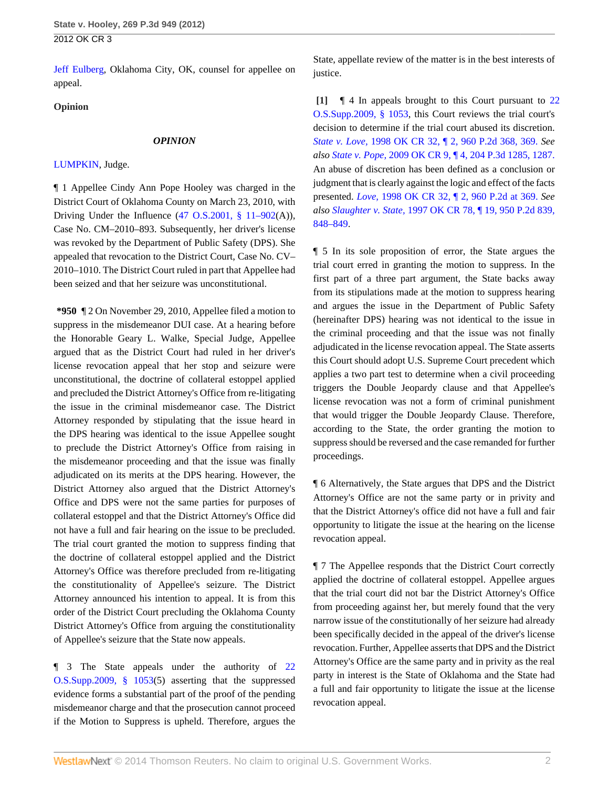[Jeff Eulberg](http://www.westlaw.com/Link/Document/FullText?findType=h&pubNum=176284&cite=0257345801&originatingDoc=Iada0f0164e3e11e1b71fa7764cbfcb47&refType=RQ&originationContext=document&vr=3.0&rs=cblt1.0&transitionType=DocumentItem&contextData=(sc.Search)), Oklahoma City, OK, counsel for appellee on appeal.

## **Opinion**

### *OPINION*

## [LUMPKIN,](http://www.westlaw.com/Link/Document/FullText?findType=h&pubNum=176284&cite=0169510501&originatingDoc=Iada0f0164e3e11e1b71fa7764cbfcb47&refType=RQ&originationContext=document&vr=3.0&rs=cblt1.0&transitionType=DocumentItem&contextData=(sc.Search)) Judge.

¶ 1 Appellee Cindy Ann Pope Hooley was charged in the District Court of Oklahoma County on March 23, 2010, with Driving Under the Influence  $(47 \text{ O.S.}2001, \text{ § } 11-902(\text{A})),$ Case No. CM–2010–893. Subsequently, her driver's license was revoked by the Department of Public Safety (DPS). She appealed that revocation to the District Court, Case No. CV– 2010–1010. The District Court ruled in part that Appellee had been seized and that her seizure was unconstitutional.

**\*950** ¶ 2 On November 29, 2010, Appellee filed a motion to suppress in the misdemeanor DUI case. At a hearing before the Honorable Geary L. Walke, Special Judge, Appellee argued that as the District Court had ruled in her driver's license revocation appeal that her stop and seizure were unconstitutional, the doctrine of collateral estoppel applied and precluded the District Attorney's Office from re-litigating the issue in the criminal misdemeanor case. The District Attorney responded by stipulating that the issue heard in the DPS hearing was identical to the issue Appellee sought to preclude the District Attorney's Office from raising in the misdemeanor proceeding and that the issue was finally adjudicated on its merits at the DPS hearing. However, the District Attorney also argued that the District Attorney's Office and DPS were not the same parties for purposes of collateral estoppel and that the District Attorney's Office did not have a full and fair hearing on the issue to be precluded. The trial court granted the motion to suppress finding that the doctrine of collateral estoppel applied and the District Attorney's Office was therefore precluded from re-litigating the constitutionality of Appellee's seizure. The District Attorney announced his intention to appeal. It is from this order of the District Court precluding the Oklahoma County District Attorney's Office from arguing the constitutionality of Appellee's seizure that the State now appeals.

¶ 3 The State appeals under the authority of [22](http://www.westlaw.com/Link/Document/FullText?findType=L&pubNum=1000165&cite=OKSTT22S1053&originatingDoc=Iada0f0164e3e11e1b71fa7764cbfcb47&refType=LQ&originationContext=document&vr=3.0&rs=cblt1.0&transitionType=DocumentItem&contextData=(sc.Search)) [O.S.Supp.2009, § 1053](http://www.westlaw.com/Link/Document/FullText?findType=L&pubNum=1000165&cite=OKSTT22S1053&originatingDoc=Iada0f0164e3e11e1b71fa7764cbfcb47&refType=LQ&originationContext=document&vr=3.0&rs=cblt1.0&transitionType=DocumentItem&contextData=(sc.Search))(5) asserting that the suppressed evidence forms a substantial part of the proof of the pending misdemeanor charge and that the prosecution cannot proceed if the Motion to Suppress is upheld. Therefore, argues the

State, appellate review of the matter is in the best interests of justice.

<span id="page-1-0"></span>**[\[1\]](#page-0-1)** ¶ 4 In appeals brought to this Court pursuant to [22](http://www.westlaw.com/Link/Document/FullText?findType=L&pubNum=1000165&cite=OKSTT22S1053&originatingDoc=Iada0f0164e3e11e1b71fa7764cbfcb47&refType=LQ&originationContext=document&vr=3.0&rs=cblt1.0&transitionType=DocumentItem&contextData=(sc.Search)) [O.S.Supp.2009, § 1053,](http://www.westlaw.com/Link/Document/FullText?findType=L&pubNum=1000165&cite=OKSTT22S1053&originatingDoc=Iada0f0164e3e11e1b71fa7764cbfcb47&refType=LQ&originationContext=document&vr=3.0&rs=cblt1.0&transitionType=DocumentItem&contextData=(sc.Search)) this Court reviews the trial court's decision to determine if the trial court abused its discretion. *State v. Love,* [1998 OK CR 32, ¶ 2, 960 P.2d 368, 369.](http://www.westlaw.com/Link/Document/FullText?findType=Y&serNum=1998113928&pubNum=661&fi=co_pp_sp_661_369&originationContext=document&vr=3.0&rs=cblt1.0&transitionType=DocumentItem&contextData=(sc.Search)#co_pp_sp_661_369) *See also State v. Pope,* [2009 OK CR 9, ¶ 4, 204 P.3d 1285, 1287.](http://www.westlaw.com/Link/Document/FullText?findType=Y&serNum=2018268942&pubNum=4645&fi=co_pp_sp_4645_1287&originationContext=document&vr=3.0&rs=cblt1.0&transitionType=DocumentItem&contextData=(sc.Search)#co_pp_sp_4645_1287) An abuse of discretion has been defined as a conclusion or judgment that is clearly against the logic and effect of the facts presented. *Love,* [1998 OK CR 32, ¶ 2, 960 P.2d at 369.](http://www.westlaw.com/Link/Document/FullText?findType=Y&serNum=1998113928&pubNum=661&fi=co_pp_sp_661_369&originationContext=document&vr=3.0&rs=cblt1.0&transitionType=DocumentItem&contextData=(sc.Search)#co_pp_sp_661_369) *See also Slaughter v. State,* [1997 OK CR 78, ¶ 19, 950 P.2d 839,](http://www.westlaw.com/Link/Document/FullText?findType=Y&serNum=1997244826&pubNum=661&fi=co_pp_sp_661_848&originationContext=document&vr=3.0&rs=cblt1.0&transitionType=DocumentItem&contextData=(sc.Search)#co_pp_sp_661_848) [848–849](http://www.westlaw.com/Link/Document/FullText?findType=Y&serNum=1997244826&pubNum=661&fi=co_pp_sp_661_848&originationContext=document&vr=3.0&rs=cblt1.0&transitionType=DocumentItem&contextData=(sc.Search)#co_pp_sp_661_848).

¶ 5 In its sole proposition of error, the State argues the trial court erred in granting the motion to suppress. In the first part of a three part argument, the State backs away from its stipulations made at the motion to suppress hearing and argues the issue in the Department of Public Safety (hereinafter DPS) hearing was not identical to the issue in the criminal proceeding and that the issue was not finally adjudicated in the license revocation appeal. The State asserts this Court should adopt U.S. Supreme Court precedent which applies a two part test to determine when a civil proceeding triggers the Double Jeopardy clause and that Appellee's license revocation was not a form of criminal punishment that would trigger the Double Jeopardy Clause. Therefore, according to the State, the order granting the motion to suppress should be reversed and the case remanded for further proceedings.

¶ 6 Alternatively, the State argues that DPS and the District Attorney's Office are not the same party or in privity and that the District Attorney's office did not have a full and fair opportunity to litigate the issue at the hearing on the license revocation appeal.

¶ 7 The Appellee responds that the District Court correctly applied the doctrine of collateral estoppel. Appellee argues that the trial court did not bar the District Attorney's Office from proceeding against her, but merely found that the very narrow issue of the constitutionally of her seizure had already been specifically decided in the appeal of the driver's license revocation. Further, Appellee asserts that DPS and the District Attorney's Office are the same party and in privity as the real party in interest is the State of Oklahoma and the State had a full and fair opportunity to litigate the issue at the license revocation appeal.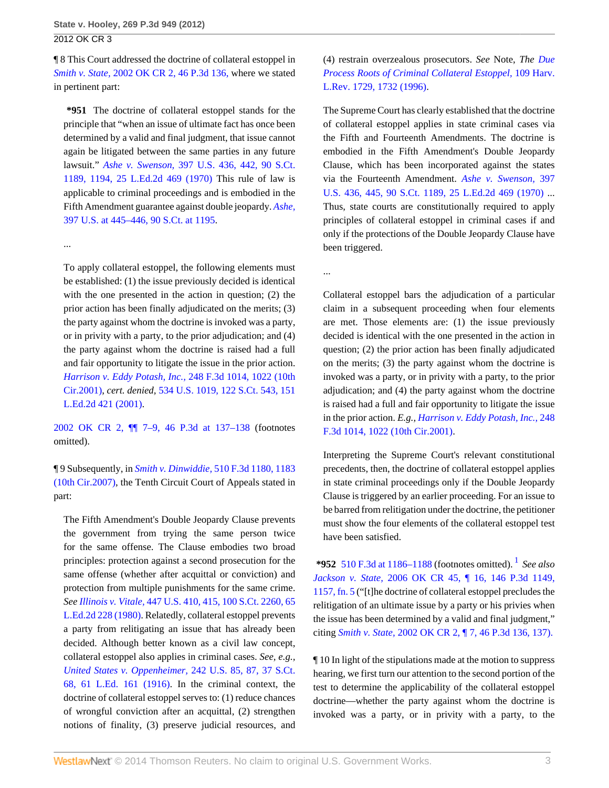¶ 8 This Court addressed the doctrine of collateral estoppel in *Smith v. State,* [2002 OK CR 2, 46 P.3d 136,](http://www.westlaw.com/Link/Document/FullText?findType=Y&serNum=2002041137&pubNum=4645&originationContext=document&vr=3.0&rs=cblt1.0&transitionType=DocumentItem&contextData=(sc.Search)) where we stated in pertinent part:

**\*951** The doctrine of collateral estoppel stands for the principle that "when an issue of ultimate fact has once been determined by a valid and final judgment, that issue cannot again be litigated between the same parties in any future lawsuit." *Ashe v. Swenson,* [397 U.S. 436, 442, 90 S.Ct.](http://www.westlaw.com/Link/Document/FullText?findType=Y&serNum=1970134208&pubNum=708&fi=co_pp_sp_708_1194&originationContext=document&vr=3.0&rs=cblt1.0&transitionType=DocumentItem&contextData=(sc.Search)#co_pp_sp_708_1194) [1189, 1194, 25 L.Ed.2d 469 \(1970\)](http://www.westlaw.com/Link/Document/FullText?findType=Y&serNum=1970134208&pubNum=708&fi=co_pp_sp_708_1194&originationContext=document&vr=3.0&rs=cblt1.0&transitionType=DocumentItem&contextData=(sc.Search)#co_pp_sp_708_1194) This rule of law is applicable to criminal proceedings and is embodied in the Fifth Amendment guarantee against double jeopardy. *[Ashe,](http://www.westlaw.com/Link/Document/FullText?findType=Y&serNum=1970134208&pubNum=708&fi=co_pp_sp_708_1195&originationContext=document&vr=3.0&rs=cblt1.0&transitionType=DocumentItem&contextData=(sc.Search)#co_pp_sp_708_1195)* [397 U.S. at 445–446, 90 S.Ct. at 1195](http://www.westlaw.com/Link/Document/FullText?findType=Y&serNum=1970134208&pubNum=708&fi=co_pp_sp_708_1195&originationContext=document&vr=3.0&rs=cblt1.0&transitionType=DocumentItem&contextData=(sc.Search)#co_pp_sp_708_1195).

...

To apply collateral estoppel, the following elements must be established: (1) the issue previously decided is identical with the one presented in the action in question; (2) the prior action has been finally adjudicated on the merits; (3) the party against whom the doctrine is invoked was a party, or in privity with a party, to the prior adjudication; and (4) the party against whom the doctrine is raised had a full and fair opportunity to litigate the issue in the prior action. *[Harrison v. Eddy Potash, Inc.,](http://www.westlaw.com/Link/Document/FullText?findType=Y&serNum=2001370099&pubNum=506&fi=co_pp_sp_506_1022&originationContext=document&vr=3.0&rs=cblt1.0&transitionType=DocumentItem&contextData=(sc.Search)#co_pp_sp_506_1022)* 248 F.3d 1014, 1022 (10th [Cir.2001\),](http://www.westlaw.com/Link/Document/FullText?findType=Y&serNum=2001370099&pubNum=506&fi=co_pp_sp_506_1022&originationContext=document&vr=3.0&rs=cblt1.0&transitionType=DocumentItem&contextData=(sc.Search)#co_pp_sp_506_1022) *cert. denied,* [534 U.S. 1019, 122 S.Ct. 543, 151](http://www.westlaw.com/Link/Document/FullText?findType=Y&serNum=2001781005&pubNum=708&originationContext=document&vr=3.0&rs=cblt1.0&transitionType=DocumentItem&contextData=(sc.Search)) [L.Ed.2d 421 \(2001\).](http://www.westlaw.com/Link/Document/FullText?findType=Y&serNum=2001781005&pubNum=708&originationContext=document&vr=3.0&rs=cblt1.0&transitionType=DocumentItem&contextData=(sc.Search))

[2002 OK CR 2, ¶¶ 7–9, 46 P.3d at 137–138](http://www.westlaw.com/Link/Document/FullText?findType=Y&serNum=2002041137&pubNum=4645&fi=co_pp_sp_4645_137&originationContext=document&vr=3.0&rs=cblt1.0&transitionType=DocumentItem&contextData=(sc.Search)#co_pp_sp_4645_137) (footnotes omitted).

¶ 9 Subsequently, in *Smith v. Dinwiddie,* [510 F.3d 1180, 1183](http://www.westlaw.com/Link/Document/FullText?findType=Y&serNum=2014335388&pubNum=506&fi=co_pp_sp_506_1183&originationContext=document&vr=3.0&rs=cblt1.0&transitionType=DocumentItem&contextData=(sc.Search)#co_pp_sp_506_1183) [\(10th Cir.2007\)](http://www.westlaw.com/Link/Document/FullText?findType=Y&serNum=2014335388&pubNum=506&fi=co_pp_sp_506_1183&originationContext=document&vr=3.0&rs=cblt1.0&transitionType=DocumentItem&contextData=(sc.Search)#co_pp_sp_506_1183), the Tenth Circuit Court of Appeals stated in part:

The Fifth Amendment's Double Jeopardy Clause prevents the government from trying the same person twice for the same offense. The Clause embodies two broad principles: protection against a second prosecution for the same offense (whether after acquittal or conviction) and protection from multiple punishments for the same crime. *See Illinois v. Vitale,* [447 U.S. 410, 415, 100 S.Ct. 2260, 65](http://www.westlaw.com/Link/Document/FullText?findType=Y&serNum=1980116780&pubNum=708&originationContext=document&vr=3.0&rs=cblt1.0&transitionType=DocumentItem&contextData=(sc.Search)) [L.Ed.2d 228 \(1980\).](http://www.westlaw.com/Link/Document/FullText?findType=Y&serNum=1980116780&pubNum=708&originationContext=document&vr=3.0&rs=cblt1.0&transitionType=DocumentItem&contextData=(sc.Search)) Relatedly, collateral estoppel prevents a party from relitigating an issue that has already been decided. Although better known as a civil law concept, collateral estoppel also applies in criminal cases. *See, e.g., [United States v. Oppenheimer,](http://www.westlaw.com/Link/Document/FullText?findType=Y&serNum=1916100519&pubNum=708&originationContext=document&vr=3.0&rs=cblt1.0&transitionType=DocumentItem&contextData=(sc.Search))* 242 U.S. 85, 87, 37 S.Ct. [68, 61 L.Ed. 161 \(1916\).](http://www.westlaw.com/Link/Document/FullText?findType=Y&serNum=1916100519&pubNum=708&originationContext=document&vr=3.0&rs=cblt1.0&transitionType=DocumentItem&contextData=(sc.Search)) In the criminal context, the doctrine of collateral estoppel serves to: (1) reduce chances of wrongful conviction after an acquittal, (2) strengthen notions of finality, (3) preserve judicial resources, and

(4) restrain overzealous prosecutors. *See* Note, *The [Due](http://www.westlaw.com/Link/Document/FullText?findType=Y&serNum=0106478389&pubNum=3084&fi=co_pp_sp_3084_1732&originationContext=document&vr=3.0&rs=cblt1.0&transitionType=DocumentItem&contextData=(sc.Search)#co_pp_sp_3084_1732) [Process Roots of Criminal Collateral Estoppel,](http://www.westlaw.com/Link/Document/FullText?findType=Y&serNum=0106478389&pubNum=3084&fi=co_pp_sp_3084_1732&originationContext=document&vr=3.0&rs=cblt1.0&transitionType=DocumentItem&contextData=(sc.Search)#co_pp_sp_3084_1732)* 109 Harv. [L.Rev. 1729, 1732 \(1996\).](http://www.westlaw.com/Link/Document/FullText?findType=Y&serNum=0106478389&pubNum=3084&fi=co_pp_sp_3084_1732&originationContext=document&vr=3.0&rs=cblt1.0&transitionType=DocumentItem&contextData=(sc.Search)#co_pp_sp_3084_1732)

The Supreme Court has clearly established that the doctrine of collateral estoppel applies in state criminal cases via the Fifth and Fourteenth Amendments. The doctrine is embodied in the Fifth Amendment's Double Jeopardy Clause, which has been incorporated against the states via the Fourteenth Amendment. *[Ashe v. Swenson,](http://www.westlaw.com/Link/Document/FullText?findType=Y&serNum=1970134208&pubNum=708&originationContext=document&vr=3.0&rs=cblt1.0&transitionType=DocumentItem&contextData=(sc.Search))* 397 [U.S. 436, 445, 90 S.Ct. 1189, 25 L.Ed.2d 469 \(1970\)](http://www.westlaw.com/Link/Document/FullText?findType=Y&serNum=1970134208&pubNum=708&originationContext=document&vr=3.0&rs=cblt1.0&transitionType=DocumentItem&contextData=(sc.Search)) ... Thus, state courts are constitutionally required to apply principles of collateral estoppel in criminal cases if and only if the protections of the Double Jeopardy Clause have been triggered.

...

Collateral estoppel bars the adjudication of a particular claim in a subsequent proceeding when four elements are met. Those elements are: (1) the issue previously decided is identical with the one presented in the action in question; (2) the prior action has been finally adjudicated on the merits; (3) the party against whom the doctrine is invoked was a party, or in privity with a party, to the prior adjudication; and (4) the party against whom the doctrine is raised had a full and fair opportunity to litigate the issue in the prior action. *E.g., [Harrison v. Eddy Potash, Inc.,](http://www.westlaw.com/Link/Document/FullText?findType=Y&serNum=2001370099&pubNum=506&fi=co_pp_sp_506_1022&originationContext=document&vr=3.0&rs=cblt1.0&transitionType=DocumentItem&contextData=(sc.Search)#co_pp_sp_506_1022)* 248 [F.3d 1014, 1022 \(10th Cir.2001\)](http://www.westlaw.com/Link/Document/FullText?findType=Y&serNum=2001370099&pubNum=506&fi=co_pp_sp_506_1022&originationContext=document&vr=3.0&rs=cblt1.0&transitionType=DocumentItem&contextData=(sc.Search)#co_pp_sp_506_1022).

Interpreting the Supreme Court's relevant constitutional precedents, then, the doctrine of collateral estoppel applies in state criminal proceedings only if the Double Jeopardy Clause is triggered by an earlier proceeding. For an issue to be barred from relitigation under the doctrine, the petitioner must show the four elements of the collateral estoppel test have been satisfied.

<span id="page-2-0"></span>**\*952** [510 F.3d at 1186–1188](http://www.westlaw.com/Link/Document/FullText?findType=Y&serNum=2014335388&pubNum=506&fi=co_pp_sp_506_1186&originationContext=document&vr=3.0&rs=cblt1.0&transitionType=DocumentItem&contextData=(sc.Search)#co_pp_sp_506_1186) (footnotes omitted). [1](#page-7-0) *See also Jackson v. State,* [2006 OK CR 45, ¶ 16, 146 P.3d 1149,](http://www.westlaw.com/Link/Document/FullText?findType=Y&serNum=2010571386&pubNum=4645&fi=co_pp_sp_4645_1157&originationContext=document&vr=3.0&rs=cblt1.0&transitionType=DocumentItem&contextData=(sc.Search)#co_pp_sp_4645_1157) [1157, fn. 5](http://www.westlaw.com/Link/Document/FullText?findType=Y&serNum=2010571386&pubNum=4645&fi=co_pp_sp_4645_1157&originationContext=document&vr=3.0&rs=cblt1.0&transitionType=DocumentItem&contextData=(sc.Search)#co_pp_sp_4645_1157) ("[t]he doctrine of collateral estoppel precludes the relitigation of an ultimate issue by a party or his privies when the issue has been determined by a valid and final judgment," citing *Smith v. State,* [2002 OK CR 2, ¶ 7, 46 P.3d 136, 137\).](http://www.westlaw.com/Link/Document/FullText?findType=Y&serNum=2002041137&pubNum=4645&fi=co_pp_sp_4645_137&originationContext=document&vr=3.0&rs=cblt1.0&transitionType=DocumentItem&contextData=(sc.Search)#co_pp_sp_4645_137)

¶ 10 In light of the stipulations made at the motion to suppress hearing, we first turn our attention to the second portion of the test to determine the applicability of the collateral estoppel doctrine—whether the party against whom the doctrine is invoked was a party, or in privity with a party, to the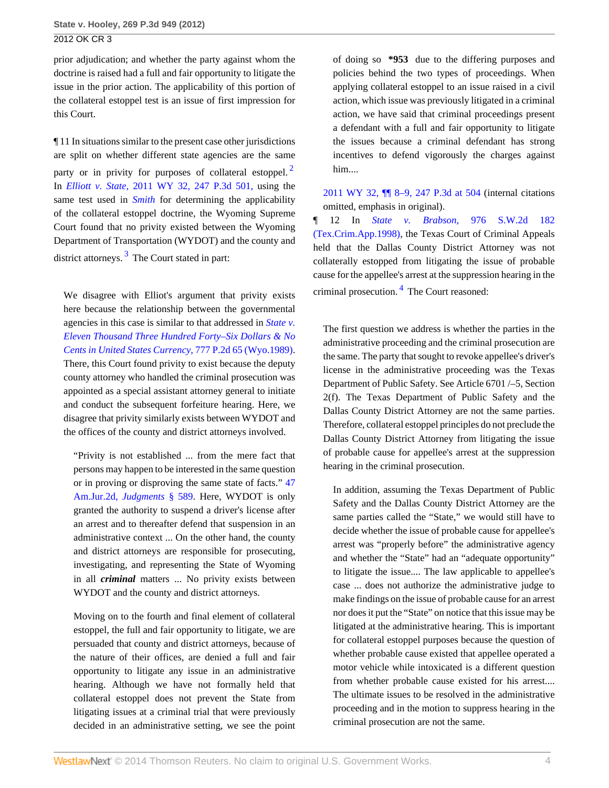prior adjudication; and whether the party against whom the doctrine is raised had a full and fair opportunity to litigate the issue in the prior action. The applicability of this portion of the collateral estoppel test is an issue of first impression for this Court.

¶ 11 In situations similar to the present case other jurisdictions are split on whether different state agencies are the same party or in privity for purposes of collateral estoppel.<sup>[2](#page-7-1)</sup> In *Elliott v. State,* [2011 WY 32, 247 P.3d 501,](http://www.westlaw.com/Link/Document/FullText?findType=Y&serNum=2024666502&pubNum=4645&originationContext=document&vr=3.0&rs=cblt1.0&transitionType=DocumentItem&contextData=(sc.Search)) using the same test used in *[Smith](http://www.westlaw.com/Link/Document/FullText?findType=Y&serNum=2002041137&originationContext=document&vr=3.0&rs=cblt1.0&transitionType=DocumentItem&contextData=(sc.Search))* for determining the applicability of the collateral estoppel doctrine, the Wyoming Supreme Court found that no privity existed between the Wyoming Department of Transportation (WYDOT) and the county and district attorneys.<sup>[3](#page-7-2)</sup> The Court stated in part:

<span id="page-3-1"></span>We disagree with Elliot's argument that privity exists here because the relationship between the governmental agencies in this case is similar to that addressed in *[State v.](http://www.westlaw.com/Link/Document/FullText?findType=Y&serNum=1989101627&pubNum=661&originationContext=document&vr=3.0&rs=cblt1.0&transitionType=DocumentItem&contextData=(sc.Search)) [Eleven Thousand Three Hundred Forty–Six Dollars & No](http://www.westlaw.com/Link/Document/FullText?findType=Y&serNum=1989101627&pubNum=661&originationContext=document&vr=3.0&rs=cblt1.0&transitionType=DocumentItem&contextData=(sc.Search)) [Cents in United States Currency,](http://www.westlaw.com/Link/Document/FullText?findType=Y&serNum=1989101627&pubNum=661&originationContext=document&vr=3.0&rs=cblt1.0&transitionType=DocumentItem&contextData=(sc.Search))* 777 P.2d 65 (Wyo.1989). There, this Court found privity to exist because the deputy county attorney who handled the criminal prosecution was appointed as a special assistant attorney general to initiate and conduct the subsequent forfeiture hearing. Here, we disagree that privity similarly exists between WYDOT and the offices of the county and district attorneys involved.

"Privity is not established ... from the mere fact that persons may happen to be interested in the same question or in proving or disproving the same state of facts." [47](http://www.westlaw.com/Link/Document/FullText?findType=Y&serNum=0281904626&pubNum=0113556&originationContext=document&vr=3.0&rs=cblt1.0&transitionType=DocumentItem&contextData=(sc.Search)) [Am.Jur.2d,](http://www.westlaw.com/Link/Document/FullText?findType=Y&serNum=0281904626&pubNum=0113556&originationContext=document&vr=3.0&rs=cblt1.0&transitionType=DocumentItem&contextData=(sc.Search)) *Judgments* § 589. Here, WYDOT is only granted the authority to suspend a driver's license after an arrest and to thereafter defend that suspension in an administrative context ... On the other hand, the county and district attorneys are responsible for prosecuting, investigating, and representing the State of Wyoming in all *criminal* matters ... No privity exists between WYDOT and the county and district attorneys.

Moving on to the fourth and final element of collateral estoppel, the full and fair opportunity to litigate, we are persuaded that county and district attorneys, because of the nature of their offices, are denied a full and fair opportunity to litigate any issue in an administrative hearing. Although we have not formally held that collateral estoppel does not prevent the State from litigating issues at a criminal trial that were previously decided in an administrative setting, we see the point

of doing so **\*953** due to the differing purposes and policies behind the two types of proceedings. When applying collateral estoppel to an issue raised in a civil action, which issue was previously litigated in a criminal action, we have said that criminal proceedings present a defendant with a full and fair opportunity to litigate the issues because a criminal defendant has strong incentives to defend vigorously the charges against him....

<span id="page-3-0"></span>[2011 WY 32, ¶¶ 8–9, 247 P.3d at 504](http://www.westlaw.com/Link/Document/FullText?findType=Y&serNum=2024666502&pubNum=4645&fi=co_pp_sp_4645_504&originationContext=document&vr=3.0&rs=cblt1.0&transitionType=DocumentItem&contextData=(sc.Search)#co_pp_sp_4645_504) (internal citations omitted, emphasis in original).

¶ 12 In *State v. Brabson,* [976 S.W.2d 182](http://www.westlaw.com/Link/Document/FullText?findType=Y&serNum=1998204650&pubNum=713&originationContext=document&vr=3.0&rs=cblt1.0&transitionType=DocumentItem&contextData=(sc.Search)) [\(Tex.Crim.App.1998\)](http://www.westlaw.com/Link/Document/FullText?findType=Y&serNum=1998204650&pubNum=713&originationContext=document&vr=3.0&rs=cblt1.0&transitionType=DocumentItem&contextData=(sc.Search)), the Texas Court of Criminal Appeals held that the Dallas County District Attorney was not collaterally estopped from litigating the issue of probable cause for the appellee's arrest at the suppression hearing in the criminal prosecution. <sup>[4](#page-7-3)</sup> The Court reasoned:

<span id="page-3-2"></span>The first question we address is whether the parties in the administrative proceeding and the criminal prosecution are the same. The party that sought to revoke appellee's driver's license in the administrative proceeding was the Texas Department of Public Safety. See Article 6701 /–5, Section 2(f). The Texas Department of Public Safety and the Dallas County District Attorney are not the same parties. Therefore, collateral estoppel principles do not preclude the Dallas County District Attorney from litigating the issue of probable cause for appellee's arrest at the suppression hearing in the criminal prosecution.

In addition, assuming the Texas Department of Public Safety and the Dallas County District Attorney are the same parties called the "State," we would still have to decide whether the issue of probable cause for appellee's arrest was "properly before" the administrative agency and whether the "State" had an "adequate opportunity" to litigate the issue.... The law applicable to appellee's case ... does not authorize the administrative judge to make findings on the issue of probable cause for an arrest nor does it put the "State" on notice that this issue may be litigated at the administrative hearing. This is important for collateral estoppel purposes because the question of whether probable cause existed that appellee operated a motor vehicle while intoxicated is a different question from whether probable cause existed for his arrest.... The ultimate issues to be resolved in the administrative proceeding and in the motion to suppress hearing in the criminal prosecution are not the same.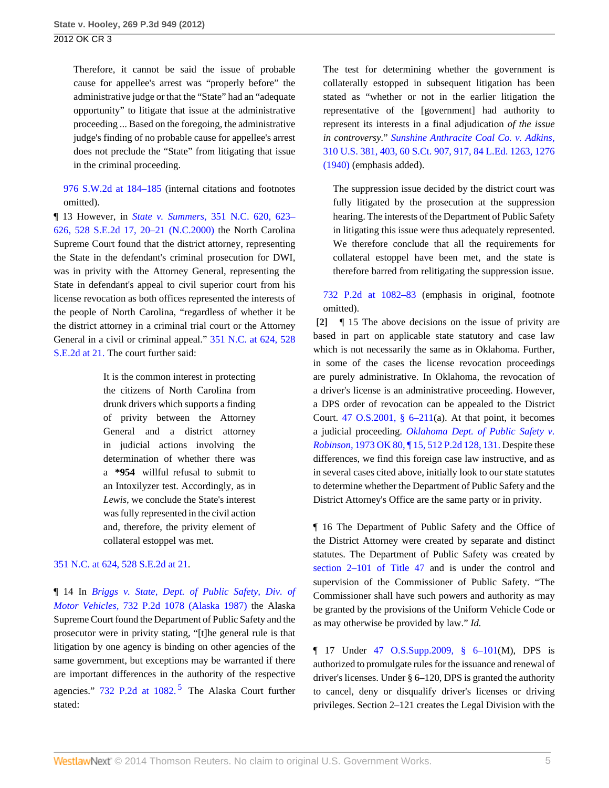Therefore, it cannot be said the issue of probable cause for appellee's arrest was "properly before" the administrative judge or that the "State" had an "adequate opportunity" to litigate that issue at the administrative proceeding ... Based on the foregoing, the administrative judge's finding of no probable cause for appellee's arrest does not preclude the "State" from litigating that issue in the criminal proceeding.

[976 S.W.2d at 184–185](http://www.westlaw.com/Link/Document/FullText?findType=Y&serNum=1998204650&pubNum=713&fi=co_pp_sp_713_184&originationContext=document&vr=3.0&rs=cblt1.0&transitionType=DocumentItem&contextData=(sc.Search)#co_pp_sp_713_184) (internal citations and footnotes omitted).

¶ 13 However, in *State v. Summers,* [351 N.C. 620, 623–](http://www.westlaw.com/Link/Document/FullText?findType=Y&serNum=2000302335&pubNum=711&fi=co_pp_sp_711_20&originationContext=document&vr=3.0&rs=cblt1.0&transitionType=DocumentItem&contextData=(sc.Search)#co_pp_sp_711_20) [626, 528 S.E.2d 17, 20–21 \(N.C.2000\)](http://www.westlaw.com/Link/Document/FullText?findType=Y&serNum=2000302335&pubNum=711&fi=co_pp_sp_711_20&originationContext=document&vr=3.0&rs=cblt1.0&transitionType=DocumentItem&contextData=(sc.Search)#co_pp_sp_711_20) the North Carolina Supreme Court found that the district attorney, representing the State in the defendant's criminal prosecution for DWI, was in privity with the Attorney General, representing the State in defendant's appeal to civil superior court from his license revocation as both offices represented the interests of the people of North Carolina, "regardless of whether it be the district attorney in a criminal trial court or the Attorney General in a civil or criminal appeal." [351 N.C. at 624, 528](http://www.westlaw.com/Link/Document/FullText?findType=Y&serNum=2000302335&pubNum=711&fi=co_pp_sp_711_21&originationContext=document&vr=3.0&rs=cblt1.0&transitionType=DocumentItem&contextData=(sc.Search)#co_pp_sp_711_21) [S.E.2d at 21.](http://www.westlaw.com/Link/Document/FullText?findType=Y&serNum=2000302335&pubNum=711&fi=co_pp_sp_711_21&originationContext=document&vr=3.0&rs=cblt1.0&transitionType=DocumentItem&contextData=(sc.Search)#co_pp_sp_711_21) The court further said:

> It is the common interest in protecting the citizens of North Carolina from drunk drivers which supports a finding of privity between the Attorney General and a district attorney in judicial actions involving the determination of whether there was a **\*954** willful refusal to submit to an Intoxilyzer test. Accordingly, as in *Lewis,* we conclude the State's interest was fully represented in the civil action and, therefore, the privity element of collateral estoppel was met.

## [351 N.C. at 624, 528 S.E.2d at 21](http://www.westlaw.com/Link/Document/FullText?findType=Y&serNum=2000302335&pubNum=711&fi=co_pp_sp_711_21&originationContext=document&vr=3.0&rs=cblt1.0&transitionType=DocumentItem&contextData=(sc.Search)#co_pp_sp_711_21).

¶ 14 In *[Briggs v. State, Dept. of Public Safety, Div. of](http://www.westlaw.com/Link/Document/FullText?findType=Y&serNum=1987025434&pubNum=661&originationContext=document&vr=3.0&rs=cblt1.0&transitionType=DocumentItem&contextData=(sc.Search)) Motor Vehicles,* [732 P.2d 1078 \(Alaska 1987\)](http://www.westlaw.com/Link/Document/FullText?findType=Y&serNum=1987025434&pubNum=661&originationContext=document&vr=3.0&rs=cblt1.0&transitionType=DocumentItem&contextData=(sc.Search)) the Alaska Supreme Court found the Department of Public Safety and the prosecutor were in privity stating, "[t]he general rule is that litigation by one agency is binding on other agencies of the same government, but exceptions may be warranted if there are important differences in the authority of the respective agencies." [732 P.2d at 1082.](http://www.westlaw.com/Link/Document/FullText?findType=Y&serNum=1987025434&pubNum=661&fi=co_pp_sp_661_1082&originationContext=document&vr=3.0&rs=cblt1.0&transitionType=DocumentItem&contextData=(sc.Search)#co_pp_sp_661_1082)<sup>[5](#page-7-4)</sup> The Alaska Court further stated:

The test for determining whether the government is collaterally estopped in subsequent litigation has been stated as "whether or not in the earlier litigation the representative of the [government] had authority to represent its interests in a final adjudication *of the issue in controversy.*" *[Sunshine Anthracite Coal Co. v. Adkins,](http://www.westlaw.com/Link/Document/FullText?findType=Y&serNum=1940127448&pubNum=708&fi=co_pp_sp_708_917&originationContext=document&vr=3.0&rs=cblt1.0&transitionType=DocumentItem&contextData=(sc.Search)#co_pp_sp_708_917)* [310 U.S. 381, 403, 60 S.Ct. 907, 917, 84 L.Ed. 1263, 1276](http://www.westlaw.com/Link/Document/FullText?findType=Y&serNum=1940127448&pubNum=708&fi=co_pp_sp_708_917&originationContext=document&vr=3.0&rs=cblt1.0&transitionType=DocumentItem&contextData=(sc.Search)#co_pp_sp_708_917) [\(1940\)](http://www.westlaw.com/Link/Document/FullText?findType=Y&serNum=1940127448&pubNum=708&fi=co_pp_sp_708_917&originationContext=document&vr=3.0&rs=cblt1.0&transitionType=DocumentItem&contextData=(sc.Search)#co_pp_sp_708_917) (emphasis added).

The suppression issue decided by the district court was fully litigated by the prosecution at the suppression hearing. The interests of the Department of Public Safety in litigating this issue were thus adequately represented. We therefore conclude that all the requirements for collateral estoppel have been met, and the state is therefore barred from relitigating the suppression issue.

[732 P.2d at 1082–83](http://www.westlaw.com/Link/Document/FullText?findType=Y&serNum=1987025434&pubNum=661&fi=co_pp_sp_661_1082&originationContext=document&vr=3.0&rs=cblt1.0&transitionType=DocumentItem&contextData=(sc.Search)#co_pp_sp_661_1082) (emphasis in original, footnote omitted).

<span id="page-4-0"></span>**[\[2\]](#page-0-0)** ¶ 15 The above decisions on the issue of privity are based in part on applicable state statutory and case law which is not necessarily the same as in Oklahoma. Further, in some of the cases the license revocation proceedings are purely administrative. In Oklahoma, the revocation of a driver's license is an administrative proceeding. However, a DPS order of revocation can be appealed to the District Court. 47 O.S.2001,  $\S$  6–211(a). At that point, it becomes a judicial proceeding. *[Oklahoma Dept. of Public Safety v.](http://www.westlaw.com/Link/Document/FullText?findType=Y&serNum=1973124254&pubNum=661&fi=co_pp_sp_661_131&originationContext=document&vr=3.0&rs=cblt1.0&transitionType=DocumentItem&contextData=(sc.Search)#co_pp_sp_661_131) Robinson,* [1973 OK 80, ¶ 15, 512 P.2d 128, 131.](http://www.westlaw.com/Link/Document/FullText?findType=Y&serNum=1973124254&pubNum=661&fi=co_pp_sp_661_131&originationContext=document&vr=3.0&rs=cblt1.0&transitionType=DocumentItem&contextData=(sc.Search)#co_pp_sp_661_131) Despite these differences, we find this foreign case law instructive, and as in several cases cited above, initially look to our state statutes to determine whether the Department of Public Safety and the District Attorney's Office are the same party or in privity.

¶ 16 The Department of Public Safety and the Office of the District Attorney were created by separate and distinct statutes. The Department of Public Safety was created by [section 2–101 of Title 47](http://www.westlaw.com/Link/Document/FullText?findType=L&pubNum=1000165&cite=OKSTT47S2-101&originatingDoc=Iada0f0164e3e11e1b71fa7764cbfcb47&refType=LQ&originationContext=document&vr=3.0&rs=cblt1.0&transitionType=DocumentItem&contextData=(sc.Search)) and is under the control and supervision of the Commissioner of Public Safety. "The Commissioner shall have such powers and authority as may be granted by the provisions of the Uniform Vehicle Code or as may otherwise be provided by law." *Id.*

<span id="page-4-1"></span>¶ 17 Under [47 O.S.Supp.2009, § 6–101\(](http://www.westlaw.com/Link/Document/FullText?findType=L&pubNum=1000165&cite=OKSTT47S6-101&originatingDoc=Iada0f0164e3e11e1b71fa7764cbfcb47&refType=LQ&originationContext=document&vr=3.0&rs=cblt1.0&transitionType=DocumentItem&contextData=(sc.Search))M), DPS is authorized to promulgate rules for the issuance and renewal of driver's licenses. Under § 6–120, DPS is granted the authority to cancel, deny or disqualify driver's licenses or driving privileges. Section 2–121 creates the Legal Division with the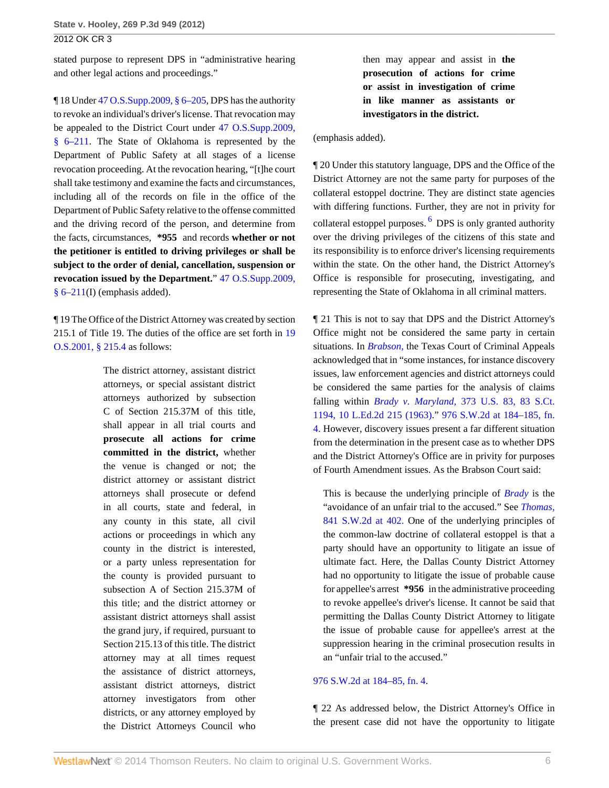stated purpose to represent DPS in "administrative hearing and other legal actions and proceedings."

¶ 18 Under [47 O.S.Supp.2009, § 6–205](http://www.westlaw.com/Link/Document/FullText?findType=L&pubNum=1000165&cite=OKSTT47S6-205&originatingDoc=Iada0f0164e3e11e1b71fa7764cbfcb47&refType=LQ&originationContext=document&vr=3.0&rs=cblt1.0&transitionType=DocumentItem&contextData=(sc.Search)), DPS has the authority to revoke an individual's driver's license. That revocation may be appealed to the District Court under [47 O.S.Supp.2009,](http://www.westlaw.com/Link/Document/FullText?findType=L&pubNum=1000165&cite=OKSTT47S6-211&originatingDoc=Iada0f0164e3e11e1b71fa7764cbfcb47&refType=LQ&originationContext=document&vr=3.0&rs=cblt1.0&transitionType=DocumentItem&contextData=(sc.Search)) [§ 6–211.](http://www.westlaw.com/Link/Document/FullText?findType=L&pubNum=1000165&cite=OKSTT47S6-211&originatingDoc=Iada0f0164e3e11e1b71fa7764cbfcb47&refType=LQ&originationContext=document&vr=3.0&rs=cblt1.0&transitionType=DocumentItem&contextData=(sc.Search)) The State of Oklahoma is represented by the Department of Public Safety at all stages of a license revocation proceeding. At the revocation hearing, "[t]he court shall take testimony and examine the facts and circumstances, including all of the records on file in the office of the Department of Public Safety relative to the offense committed and the driving record of the person, and determine from the facts, circumstances, **\*955** and records **whether or not the petitioner is entitled to driving privileges or shall be subject to the order of denial, cancellation, suspension or revocation issued by the Department.**" [47 O.S.Supp.2009,](http://www.westlaw.com/Link/Document/FullText?findType=L&pubNum=1000165&cite=OKSTT47S6-211&originatingDoc=Iada0f0164e3e11e1b71fa7764cbfcb47&refType=LQ&originationContext=document&vr=3.0&rs=cblt1.0&transitionType=DocumentItem&contextData=(sc.Search))  $§ 6-211(I)$  (emphasis added).

¶ 19 The Office of the District Attorney was created by section 215.1 of Title 19. The duties of the office are set forth in [19](http://www.westlaw.com/Link/Document/FullText?findType=L&pubNum=1000165&cite=OKSTT19S215.4&originatingDoc=Iada0f0164e3e11e1b71fa7764cbfcb47&refType=LQ&originationContext=document&vr=3.0&rs=cblt1.0&transitionType=DocumentItem&contextData=(sc.Search)) [O.S.2001, § 215.4](http://www.westlaw.com/Link/Document/FullText?findType=L&pubNum=1000165&cite=OKSTT19S215.4&originatingDoc=Iada0f0164e3e11e1b71fa7764cbfcb47&refType=LQ&originationContext=document&vr=3.0&rs=cblt1.0&transitionType=DocumentItem&contextData=(sc.Search)) as follows:

> The district attorney, assistant district attorneys, or special assistant district attorneys authorized by subsection C of Section 215.37M of this title, shall appear in all trial courts and **prosecute all actions for crime committed in the district,** whether the venue is changed or not; the district attorney or assistant district attorneys shall prosecute or defend in all courts, state and federal, in any county in this state, all civil actions or proceedings in which any county in the district is interested, or a party unless representation for the county is provided pursuant to subsection A of Section 215.37M of this title; and the district attorney or assistant district attorneys shall assist the grand jury, if required, pursuant to Section 215.13 of this title. The district attorney may at all times request the assistance of district attorneys, assistant district attorneys, district attorney investigators from other districts, or any attorney employed by the District Attorneys Council who

then may appear and assist in **the prosecution of actions for crime or assist in investigation of crime in like manner as assistants or investigators in the district.**

(emphasis added).

<span id="page-5-0"></span>¶ 20 Under this statutory language, DPS and the Office of the District Attorney are not the same party for purposes of the collateral estoppel doctrine. They are distinct state agencies with differing functions. Further, they are not in privity for collateral estoppel purposes. <sup>[6](#page-7-5)</sup> DPS is only granted authority over the driving privileges of the citizens of this state and its responsibility is to enforce driver's licensing requirements within the state. On the other hand, the District Attorney's Office is responsible for prosecuting, investigating, and representing the State of Oklahoma in all criminal matters.

¶ 21 This is not to say that DPS and the District Attorney's Office might not be considered the same party in certain situations. In *[Brabson,](http://www.westlaw.com/Link/Document/FullText?findType=Y&serNum=1998204650&originationContext=document&vr=3.0&rs=cblt1.0&transitionType=DocumentItem&contextData=(sc.Search))* the Texas Court of Criminal Appeals acknowledged that in "some instances, for instance discovery issues, law enforcement agencies and district attorneys could be considered the same parties for the analysis of claims falling within *Brady v. Maryland,* [373 U.S. 83, 83 S.Ct.](http://www.westlaw.com/Link/Document/FullText?findType=Y&serNum=1963125353&pubNum=708&originationContext=document&vr=3.0&rs=cblt1.0&transitionType=DocumentItem&contextData=(sc.Search)) [1194, 10 L.Ed.2d 215 \(1963\)](http://www.westlaw.com/Link/Document/FullText?findType=Y&serNum=1963125353&pubNum=708&originationContext=document&vr=3.0&rs=cblt1.0&transitionType=DocumentItem&contextData=(sc.Search))." [976 S.W.2d at 184–185, fn.](http://www.westlaw.com/Link/Document/FullText?findType=Y&serNum=1998204650&pubNum=713&fi=co_pp_sp_713_184&originationContext=document&vr=3.0&rs=cblt1.0&transitionType=DocumentItem&contextData=(sc.Search)#co_pp_sp_713_184) [4.](http://www.westlaw.com/Link/Document/FullText?findType=Y&serNum=1998204650&pubNum=713&fi=co_pp_sp_713_184&originationContext=document&vr=3.0&rs=cblt1.0&transitionType=DocumentItem&contextData=(sc.Search)#co_pp_sp_713_184) However, discovery issues present a far different situation from the determination in the present case as to whether DPS and the District Attorney's Office are in privity for purposes of Fourth Amendment issues. As the Brabson Court said:

This is because the underlying principle of *[Brady](http://www.westlaw.com/Link/Document/FullText?findType=Y&serNum=1963125353&originationContext=document&vr=3.0&rs=cblt1.0&transitionType=DocumentItem&contextData=(sc.Search))* is the "avoidance of an unfair trial to the accused." See *[Thomas,](http://www.westlaw.com/Link/Document/FullText?findType=Y&serNum=1992186369&pubNum=713&fi=co_pp_sp_713_402&originationContext=document&vr=3.0&rs=cblt1.0&transitionType=DocumentItem&contextData=(sc.Search)#co_pp_sp_713_402)* [841 S.W.2d at 402.](http://www.westlaw.com/Link/Document/FullText?findType=Y&serNum=1992186369&pubNum=713&fi=co_pp_sp_713_402&originationContext=document&vr=3.0&rs=cblt1.0&transitionType=DocumentItem&contextData=(sc.Search)#co_pp_sp_713_402) One of the underlying principles of the common-law doctrine of collateral estoppel is that a party should have an opportunity to litigate an issue of ultimate fact. Here, the Dallas County District Attorney had no opportunity to litigate the issue of probable cause for appellee's arrest **\*956** in the administrative proceeding to revoke appellee's driver's license. It cannot be said that permitting the Dallas County District Attorney to litigate the issue of probable cause for appellee's arrest at the suppression hearing in the criminal prosecution results in an "unfair trial to the accused."

## [976 S.W.2d at 184–85, fn. 4](http://www.westlaw.com/Link/Document/FullText?findType=Y&serNum=1998204650&pubNum=713&fi=co_pp_sp_713_184&originationContext=document&vr=3.0&rs=cblt1.0&transitionType=DocumentItem&contextData=(sc.Search)#co_pp_sp_713_184).

¶ 22 As addressed below, the District Attorney's Office in the present case did not have the opportunity to litigate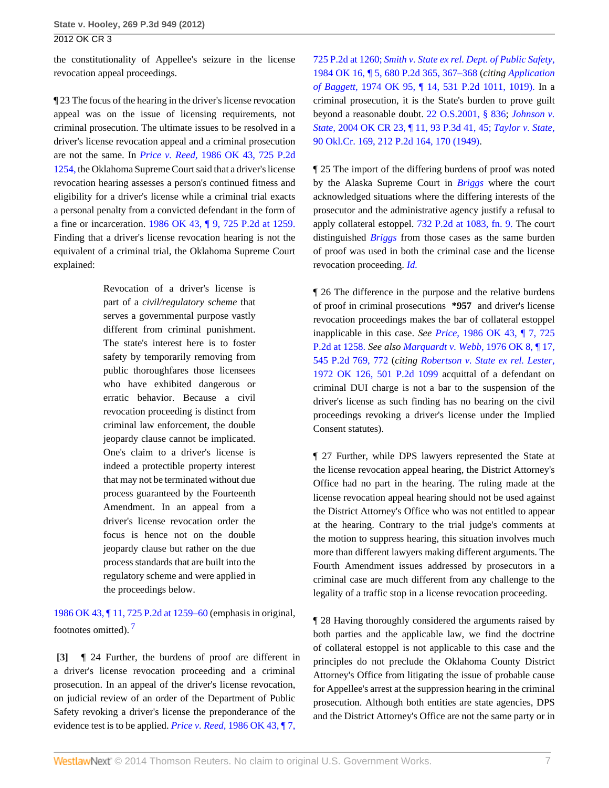the constitutionality of Appellee's seizure in the license revocation appeal proceedings.

¶ 23 The focus of the hearing in the driver's license revocation appeal was on the issue of licensing requirements, not criminal prosecution. The ultimate issues to be resolved in a driver's license revocation appeal and a criminal prosecution are not the same. In *Price v. Reed,* [1986 OK 43, 725 P.2d](http://www.westlaw.com/Link/Document/FullText?findType=Y&serNum=1986135885&pubNum=661&originationContext=document&vr=3.0&rs=cblt1.0&transitionType=DocumentItem&contextData=(sc.Search)) [1254,](http://www.westlaw.com/Link/Document/FullText?findType=Y&serNum=1986135885&pubNum=661&originationContext=document&vr=3.0&rs=cblt1.0&transitionType=DocumentItem&contextData=(sc.Search)) the Oklahoma Supreme Court said that a driver's license revocation hearing assesses a person's continued fitness and eligibility for a driver's license while a criminal trial exacts a personal penalty from a convicted defendant in the form of a fine or incarceration. [1986 OK 43, ¶ 9, 725 P.2d at 1259.](http://www.westlaw.com/Link/Document/FullText?findType=Y&serNum=1986135885&pubNum=661&fi=co_pp_sp_661_1259&originationContext=document&vr=3.0&rs=cblt1.0&transitionType=DocumentItem&contextData=(sc.Search)#co_pp_sp_661_1259) Finding that a driver's license revocation hearing is not the equivalent of a criminal trial, the Oklahoma Supreme Court explained:

> Revocation of a driver's license is part of a *civil/regulatory scheme* that serves a governmental purpose vastly different from criminal punishment. The state's interest here is to foster safety by temporarily removing from public thoroughfares those licensees who have exhibited dangerous or erratic behavior. Because a civil revocation proceeding is distinct from criminal law enforcement, the double jeopardy clause cannot be implicated. One's claim to a driver's license is indeed a protectible property interest that may not be terminated without due process guaranteed by the Fourteenth Amendment. In an appeal from a driver's license revocation order the focus is hence not on the double jeopardy clause but rather on the due process standards that are built into the regulatory scheme and were applied in the proceedings below.

<span id="page-6-1"></span>[1986 OK 43, ¶ 11, 725 P.2d at 1259–60](http://www.westlaw.com/Link/Document/FullText?findType=Y&serNum=1986135885&pubNum=661&fi=co_pp_sp_661_1259&originationContext=document&vr=3.0&rs=cblt1.0&transitionType=DocumentItem&contextData=(sc.Search)#co_pp_sp_661_1259) (emphasis in original, footnotes omitted). [7](#page-7-6)

<span id="page-6-0"></span>**[\[3\]](#page-0-2)** ¶ 24 Further, the burdens of proof are different in a driver's license revocation proceeding and a criminal prosecution. In an appeal of the driver's license revocation, on judicial review of an order of the Department of Public Safety revoking a driver's license the preponderance of the evidence test is to be applied. *Price v. Reed,* [1986 OK 43, ¶ 7,](http://www.westlaw.com/Link/Document/FullText?findType=Y&serNum=1986135885&pubNum=661&fi=co_pp_sp_661_1260&originationContext=document&vr=3.0&rs=cblt1.0&transitionType=DocumentItem&contextData=(sc.Search)#co_pp_sp_661_1260)

[725 P.2d at 1260;](http://www.westlaw.com/Link/Document/FullText?findType=Y&serNum=1986135885&pubNum=661&fi=co_pp_sp_661_1260&originationContext=document&vr=3.0&rs=cblt1.0&transitionType=DocumentItem&contextData=(sc.Search)#co_pp_sp_661_1260) *[Smith v. State ex rel. Dept. of Public Safety,](http://www.westlaw.com/Link/Document/FullText?findType=Y&serNum=1984121354&pubNum=661&fi=co_pp_sp_661_367&originationContext=document&vr=3.0&rs=cblt1.0&transitionType=DocumentItem&contextData=(sc.Search)#co_pp_sp_661_367)* [1984 OK 16, ¶ 5, 680 P.2d 365, 367–368](http://www.westlaw.com/Link/Document/FullText?findType=Y&serNum=1984121354&pubNum=661&fi=co_pp_sp_661_367&originationContext=document&vr=3.0&rs=cblt1.0&transitionType=DocumentItem&contextData=(sc.Search)#co_pp_sp_661_367) (*citing [Application](http://www.westlaw.com/Link/Document/FullText?findType=Y&serNum=1974127019&pubNum=661&fi=co_pp_sp_661_1019&originationContext=document&vr=3.0&rs=cblt1.0&transitionType=DocumentItem&contextData=(sc.Search)#co_pp_sp_661_1019) of Baggett,* [1974 OK 95, ¶ 14, 531 P.2d 1011, 1019\).](http://www.westlaw.com/Link/Document/FullText?findType=Y&serNum=1974127019&pubNum=661&fi=co_pp_sp_661_1019&originationContext=document&vr=3.0&rs=cblt1.0&transitionType=DocumentItem&contextData=(sc.Search)#co_pp_sp_661_1019) In a criminal prosecution, it is the State's burden to prove guilt beyond a reasonable doubt. [22 O.S.2001, § 836;](http://www.westlaw.com/Link/Document/FullText?findType=L&pubNum=1000165&cite=OKSTT22S836&originatingDoc=Iada0f0164e3e11e1b71fa7764cbfcb47&refType=LQ&originationContext=document&vr=3.0&rs=cblt1.0&transitionType=DocumentItem&contextData=(sc.Search)) *[Johnson v.](http://www.westlaw.com/Link/Document/FullText?findType=Y&serNum=2004585251&pubNum=4645&fi=co_pp_sp_4645_45&originationContext=document&vr=3.0&rs=cblt1.0&transitionType=DocumentItem&contextData=(sc.Search)#co_pp_sp_4645_45) State,* [2004 OK CR 23, ¶ 11, 93 P.3d 41, 45;](http://www.westlaw.com/Link/Document/FullText?findType=Y&serNum=2004585251&pubNum=4645&fi=co_pp_sp_4645_45&originationContext=document&vr=3.0&rs=cblt1.0&transitionType=DocumentItem&contextData=(sc.Search)#co_pp_sp_4645_45) *[Taylor v. State,](http://www.westlaw.com/Link/Document/FullText?findType=Y&serNum=1950114921&pubNum=661&fi=co_pp_sp_661_170&originationContext=document&vr=3.0&rs=cblt1.0&transitionType=DocumentItem&contextData=(sc.Search)#co_pp_sp_661_170)* [90 Okl.Cr. 169, 212 P.2d 164, 170 \(1949\)](http://www.westlaw.com/Link/Document/FullText?findType=Y&serNum=1950114921&pubNum=661&fi=co_pp_sp_661_170&originationContext=document&vr=3.0&rs=cblt1.0&transitionType=DocumentItem&contextData=(sc.Search)#co_pp_sp_661_170).

¶ 25 The import of the differing burdens of proof was noted by the Alaska Supreme Court in *[Briggs](http://www.westlaw.com/Link/Document/FullText?findType=Y&serNum=1987025434&originationContext=document&vr=3.0&rs=cblt1.0&transitionType=DocumentItem&contextData=(sc.Search))* where the court acknowledged situations where the differing interests of the prosecutor and the administrative agency justify a refusal to apply collateral estoppel. [732 P.2d at 1083, fn. 9.](http://www.westlaw.com/Link/Document/FullText?findType=Y&serNum=1987025434&pubNum=661&fi=co_pp_sp_661_1083&originationContext=document&vr=3.0&rs=cblt1.0&transitionType=DocumentItem&contextData=(sc.Search)#co_pp_sp_661_1083) The court distinguished *[Briggs](http://www.westlaw.com/Link/Document/FullText?findType=Y&serNum=1987025434&originationContext=document&vr=3.0&rs=cblt1.0&transitionType=DocumentItem&contextData=(sc.Search))* from those cases as the same burden of proof was used in both the criminal case and the license revocation proceeding. *[Id.](http://www.westlaw.com/Link/Document/FullText?findType=Y&serNum=1987025434&originationContext=document&vr=3.0&rs=cblt1.0&transitionType=DocumentItem&contextData=(sc.Search))*

¶ 26 The difference in the purpose and the relative burdens of proof in criminal prosecutions **\*957** and driver's license revocation proceedings makes the bar of collateral estoppel inapplicable in this case. *See Price,* [1986 OK 43, ¶ 7, 725](http://www.westlaw.com/Link/Document/FullText?findType=Y&serNum=1986135885&pubNum=661&fi=co_pp_sp_661_1258&originationContext=document&vr=3.0&rs=cblt1.0&transitionType=DocumentItem&contextData=(sc.Search)#co_pp_sp_661_1258) [P.2d at 1258.](http://www.westlaw.com/Link/Document/FullText?findType=Y&serNum=1986135885&pubNum=661&fi=co_pp_sp_661_1258&originationContext=document&vr=3.0&rs=cblt1.0&transitionType=DocumentItem&contextData=(sc.Search)#co_pp_sp_661_1258) *See also [Marquardt v. Webb,](http://www.westlaw.com/Link/Document/FullText?findType=Y&serNum=1976112784&pubNum=661&fi=co_pp_sp_661_772&originationContext=document&vr=3.0&rs=cblt1.0&transitionType=DocumentItem&contextData=(sc.Search)#co_pp_sp_661_772)* 1976 OK 8, ¶ 17, [545 P.2d 769, 772](http://www.westlaw.com/Link/Document/FullText?findType=Y&serNum=1976112784&pubNum=661&fi=co_pp_sp_661_772&originationContext=document&vr=3.0&rs=cblt1.0&transitionType=DocumentItem&contextData=(sc.Search)#co_pp_sp_661_772) (*citing [Robertson v. State ex rel. Lester,](http://www.westlaw.com/Link/Document/FullText?findType=Y&serNum=1972125868&pubNum=661&originationContext=document&vr=3.0&rs=cblt1.0&transitionType=DocumentItem&contextData=(sc.Search))* [1972 OK 126, 501 P.2d 1099](http://www.westlaw.com/Link/Document/FullText?findType=Y&serNum=1972125868&pubNum=661&originationContext=document&vr=3.0&rs=cblt1.0&transitionType=DocumentItem&contextData=(sc.Search)) acquittal of a defendant on criminal DUI charge is not a bar to the suspension of the driver's license as such finding has no bearing on the civil proceedings revoking a driver's license under the Implied Consent statutes).

¶ 27 Further, while DPS lawyers represented the State at the license revocation appeal hearing, the District Attorney's Office had no part in the hearing. The ruling made at the license revocation appeal hearing should not be used against the District Attorney's Office who was not entitled to appear at the hearing. Contrary to the trial judge's comments at the motion to suppress hearing, this situation involves much more than different lawyers making different arguments. The Fourth Amendment issues addressed by prosecutors in a criminal case are much different from any challenge to the legality of a traffic stop in a license revocation proceeding.

¶ 28 Having thoroughly considered the arguments raised by both parties and the applicable law, we find the doctrine of collateral estoppel is not applicable to this case and the principles do not preclude the Oklahoma County District Attorney's Office from litigating the issue of probable cause for Appellee's arrest at the suppression hearing in the criminal prosecution. Although both entities are state agencies, DPS and the District Attorney's Office are not the same party or in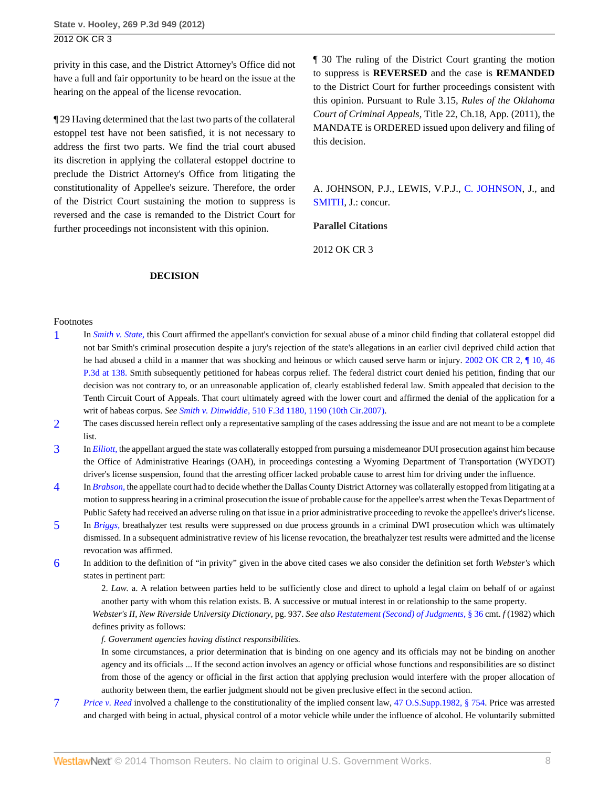privity in this case, and the District Attorney's Office did not have a full and fair opportunity to be heard on the issue at the hearing on the appeal of the license revocation.

¶ 29 Having determined that the last two parts of the collateral estoppel test have not been satisfied, it is not necessary to address the first two parts. We find the trial court abused its discretion in applying the collateral estoppel doctrine to preclude the District Attorney's Office from litigating the constitutionality of Appellee's seizure. Therefore, the order of the District Court sustaining the motion to suppress is reversed and the case is remanded to the District Court for further proceedings not inconsistent with this opinion.

¶ 30 The ruling of the District Court granting the motion to suppress is **REVERSED** and the case is **REMANDED** to the District Court for further proceedings consistent with this opinion. Pursuant to Rule 3.15, *Rules of the Oklahoma Court of Criminal Appeals,* Title 22, Ch.18, App. (2011), the MANDATE is ORDERED issued upon delivery and filing of this decision.

A. JOHNSON, P.J., LEWIS, V.P.J., [C. JOHNSON](http://www.westlaw.com/Link/Document/FullText?findType=h&pubNum=176284&cite=0235293501&originatingDoc=Iada0f0164e3e11e1b71fa7764cbfcb47&refType=RQ&originationContext=document&vr=3.0&rs=cblt1.0&transitionType=DocumentItem&contextData=(sc.Search)), J., and [SMITH](http://www.westlaw.com/Link/Document/FullText?findType=h&pubNum=176284&cite=0144345201&originatingDoc=Iada0f0164e3e11e1b71fa7764cbfcb47&refType=RQ&originationContext=document&vr=3.0&rs=cblt1.0&transitionType=DocumentItem&contextData=(sc.Search)), J.: concur.

#### **Parallel Citations**

2012 OK CR 3

#### **DECISION**

#### Footnotes

- <span id="page-7-0"></span>[1](#page-2-0) In *[Smith v. State,](http://www.westlaw.com/Link/Document/FullText?findType=Y&serNum=2002041137&originationContext=document&vr=3.0&rs=cblt1.0&transitionType=DocumentItem&contextData=(sc.Search))* this Court affirmed the appellant's conviction for sexual abuse of a minor child finding that collateral estoppel did not bar Smith's criminal prosecution despite a jury's rejection of the state's allegations in an earlier civil deprived child action that he had abused a child in a manner that was shocking and heinous or which caused serve harm or injury. 2002 OK CR 2,  $\parallel$  10, 46 [P.3d at 138.](http://www.westlaw.com/Link/Document/FullText?findType=Y&serNum=2002041137&pubNum=4645&fi=co_pp_sp_4645_138&originationContext=document&vr=3.0&rs=cblt1.0&transitionType=DocumentItem&contextData=(sc.Search)#co_pp_sp_4645_138) Smith subsequently petitioned for habeas corpus relief. The federal district court denied his petition, finding that our decision was not contrary to, or an unreasonable application of, clearly established federal law. Smith appealed that decision to the Tenth Circuit Court of Appeals. That court ultimately agreed with the lower court and affirmed the denial of the application for a writ of habeas corpus. *See Smith v. Dinwiddie,* [510 F.3d 1180, 1190 \(10th Cir.2007\).](http://www.westlaw.com/Link/Document/FullText?findType=Y&serNum=2014335388&pubNum=506&fi=co_pp_sp_506_1190&originationContext=document&vr=3.0&rs=cblt1.0&transitionType=DocumentItem&contextData=(sc.Search)#co_pp_sp_506_1190)
- <span id="page-7-1"></span>[2](#page-3-0) The cases discussed herein reflect only a representative sampling of the cases addressing the issue and are not meant to be a complete list.
- <span id="page-7-2"></span>[3](#page-3-1) In *[Elliott,](http://www.westlaw.com/Link/Document/FullText?findType=Y&serNum=2024666502&originationContext=document&vr=3.0&rs=cblt1.0&transitionType=DocumentItem&contextData=(sc.Search))* the appellant argued the state was collaterally estopped from pursuing a misdemeanor DUI prosecution against him because the Office of Administrative Hearings (OAH), in proceedings contesting a Wyoming Department of Transportation (WYDOT) driver's license suspension, found that the arresting officer lacked probable cause to arrest him for driving under the influence.
- <span id="page-7-3"></span>[4](#page-3-2) In *[Brabson,](http://www.westlaw.com/Link/Document/FullText?findType=Y&serNum=1998204650&originationContext=document&vr=3.0&rs=cblt1.0&transitionType=DocumentItem&contextData=(sc.Search))* the appellate court had to decide whether the Dallas County District Attorney was collaterally estopped from litigating at a motion to suppress hearing in a criminal prosecution the issue of probable cause for the appellee's arrest when the Texas Department of Public Safety had received an adverse ruling on that issue in a prior administrative proceeding to revoke the appellee's driver's license.
- <span id="page-7-4"></span>[5](#page-4-1) In *[Briggs,](http://www.westlaw.com/Link/Document/FullText?findType=Y&serNum=1987025434&originationContext=document&vr=3.0&rs=cblt1.0&transitionType=DocumentItem&contextData=(sc.Search))* breathalyzer test results were suppressed on due process grounds in a criminal DWI prosecution which was ultimately dismissed. In a subsequent administrative review of his license revocation, the breathalyzer test results were admitted and the license revocation was affirmed.
- <span id="page-7-5"></span>[6](#page-5-0) In addition to the definition of "in privity" given in the above cited cases we also consider the definition set forth *Webster's* which states in pertinent part:

2. *Law.* a. A relation between parties held to be sufficiently close and direct to uphold a legal claim on behalf of or against another party with whom this relation exists. B. A successive or mutual interest in or relationship to the same property.

*Webster's II, New Riverside University Dictionary,* pg. 937. *See also [Restatement \(Second\) of Judgments,](http://www.westlaw.com/Link/Document/FullText?findType=Y&serNum=0291285792&pubNum=0101581&originationContext=document&vr=3.0&rs=cblt1.0&transitionType=DocumentItem&contextData=(sc.Search))* § 36 cmt. *f* (1982) which defines privity as follows:

*f. Government agencies having distinct responsibilities.*

In some circumstances, a prior determination that is binding on one agency and its officials may not be binding on another agency and its officials ... If the second action involves an agency or official whose functions and responsibilities are so distinct from those of the agency or official in the first action that applying preclusion would interfere with the proper allocation of authority between them, the earlier judgment should not be given preclusive effect in the second action.

<span id="page-7-6"></span>[7](#page-6-1) *[Price v. Reed](http://www.westlaw.com/Link/Document/FullText?findType=Y&serNum=1986135885&originationContext=document&vr=3.0&rs=cblt1.0&transitionType=DocumentItem&contextData=(sc.Search))* involved a challenge to the constitutionality of the implied consent law, [47 O.S.Supp.1982, § 754.](http://www.westlaw.com/Link/Document/FullText?findType=L&pubNum=1000165&cite=OKSTT47S754&originatingDoc=Iada0f0164e3e11e1b71fa7764cbfcb47&refType=LQ&originationContext=document&vr=3.0&rs=cblt1.0&transitionType=DocumentItem&contextData=(sc.Search)) Price was arrested and charged with being in actual, physical control of a motor vehicle while under the influence of alcohol. He voluntarily submitted